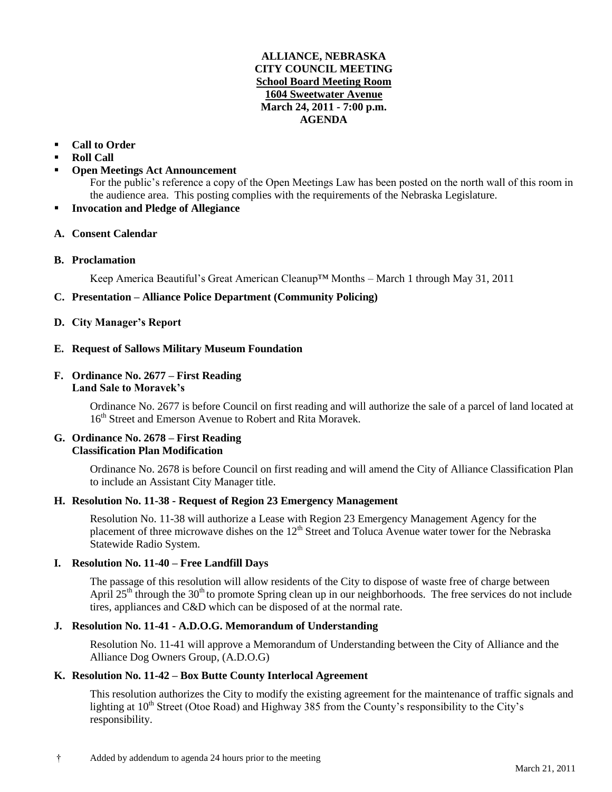# **ALLIANCE, NEBRASKA CITY COUNCIL MEETING School Board Meeting Room 1604 Sweetwater Avenue March 24, 2011 - 7:00 p.m. AGENDA**

# **Call to Order**

# **Roll Call**

**Open Meetings Act Announcement**

For the public's reference a copy of the Open Meetings Law has been posted on the north wall of this room in the audience area. This posting complies with the requirements of the Nebraska Legislature.

**Invocation and Pledge of Allegiance**

#### **A. Consent Calendar**

**B. Proclamation**

Keep America Beautiful's Great American Cleanup™ Months – March 1 through May 31, 2011

# **C. Presentation – Alliance Police Department (Community Policing)**

# **D. City Manager's Report**

# **E. Request of Sallows Military Museum Foundation**

#### **F. Ordinance No. 2677 – First Reading Land Sale to Moravek's**

Ordinance No. 2677 is before Council on first reading and will authorize the sale of a parcel of land located at 16<sup>th</sup> Street and Emerson Avenue to Robert and Rita Moravek.

# **G. Ordinance No. 2678 – First Reading Classification Plan Modification**

Ordinance No. 2678 is before Council on first reading and will amend the City of Alliance Classification Plan to include an Assistant City Manager title.

# **H. Resolution No. 11-38 - Request of Region 23 Emergency Management**

Resolution No. 11-38 will authorize a Lease with Region 23 Emergency Management Agency for the placement of three microwave dishes on the  $12<sup>th</sup>$  Street and Toluca Avenue water tower for the Nebraska Statewide Radio System.

# **I. Resolution No. 11-40 – Free Landfill Days**

The passage of this resolution will allow residents of the City to dispose of waste free of charge between April  $25<sup>th</sup>$  through the  $30<sup>th</sup>$  to promote Spring clean up in our neighborhoods. The free services do not include tires, appliances and C&D which can be disposed of at the normal rate.

# **J. Resolution No. 11-41 - A.D.O.G. Memorandum of Understanding**

Resolution No. 11-41 will approve a Memorandum of Understanding between the City of Alliance and the Alliance Dog Owners Group, (A.D.O.G)

# **K. Resolution No. 11-42 – Box Butte County Interlocal Agreement**

This resolution authorizes the City to modify the existing agreement for the maintenance of traffic signals and lighting at  $10<sup>th</sup>$  Street (Otoe Road) and Highway 385 from the County's responsibility to the City's responsibility.